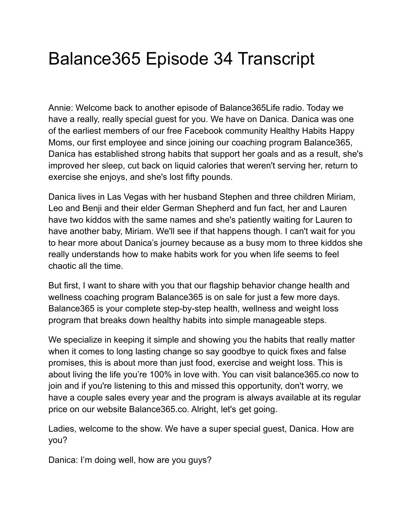## Balance365 Episode 34 Transcript

Annie: Welcome back to another episode of Balance365Life radio. Today we have a really, really special guest for you. We have on Danica. Danica was one of the earliest members of our free Facebook community Healthy Habits Happy Moms, our first employee and since joining our coaching program Balance365, Danica has established strong habits that support her goals and as a result, she's improved her sleep, cut back on liquid calories that weren't serving her, return to exercise she enjoys, and she's lost fifty pounds.

Danica lives in Las Vegas with her husband Stephen and three children Miriam, Leo and Benji and their elder German Shepherd and fun fact, her and Lauren have two kiddos with the same names and she's patiently waiting for Lauren to have another baby, Miriam. We'll see if that happens though. I can't wait for you to hear more about Danica's journey because as a busy mom to three kiddos she really understands how to make habits work for you when life seems to feel chaotic all the time.

But first, I want to share with you that our flagship behavior change health and wellness coaching program Balance365 is on sale for just a few more days. Balance365 is your complete step-by-step health, wellness and weight loss program that breaks down healthy habits into simple manageable steps.

We specialize in keeping it simple and showing you the habits that really matter when it comes to long lasting change so say goodbye to quick fixes and false promises, this is about more than just food, exercise and weight loss. This is about living the life you're 100% in love with. You can visit balance365.co now to join and if you're listening to this and missed this opportunity, don't worry, we have a couple sales every year and the program is always available at its regular price on our website Balance365.co. Alright, let's get going.

Ladies, welcome to the show. We have a super special guest, Danica. How are you?

Danica: I'm doing well, how are you guys?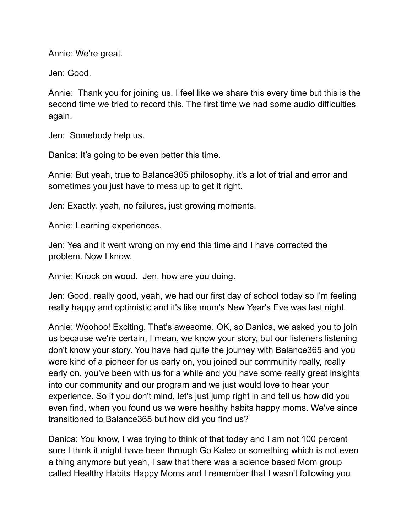Annie: We're great.

Jen: Good.

Annie: Thank you for joining us. I feel like we share this every time but this is the second time we tried to record this. The first time we had some audio difficulties again.

Jen: Somebody help us.

Danica: It's going to be even better this time.

Annie: But yeah, true to Balance365 philosophy, it's a lot of trial and error and sometimes you just have to mess up to get it right.

Jen: Exactly, yeah, no failures, just growing moments.

Annie: Learning experiences.

Jen: Yes and it went wrong on my end this time and I have corrected the problem. Now I know.

Annie: Knock on wood. Jen, how are you doing.

Jen: Good, really good, yeah, we had our first day of school today so I'm feeling really happy and optimistic and it's like mom's New Year's Eve was last night.

Annie: Woohoo! Exciting. That's awesome. OK, so Danica, we asked you to join us because we're certain, I mean, we know your story, but our listeners listening don't know your story. You have had quite the journey with Balance365 and you were kind of a pioneer for us early on, you joined our community really, really early on, you've been with us for a while and you have some really great insights into our community and our program and we just would love to hear your experience. So if you don't mind, let's just jump right in and tell us how did you even find, when you found us we were healthy habits happy moms. We've since transitioned to Balance365 but how did you find us?

Danica: You know, I was trying to think of that today and I am not 100 percent sure I think it might have been through Go Kaleo or something which is not even a thing anymore but yeah, I saw that there was a science based Mom group called Healthy Habits Happy Moms and I remember that I wasn't following you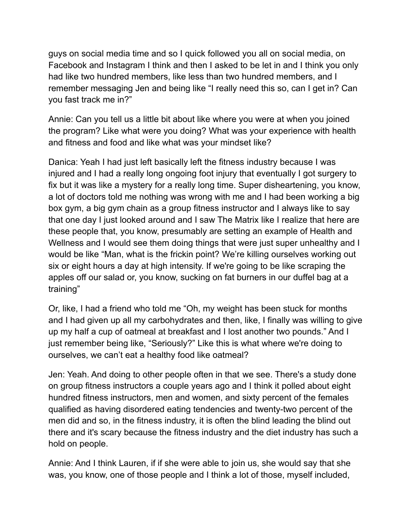guys on social media time and so I quick followed you all on social media, on Facebook and Instagram I think and then I asked to be let in and I think you only had like two hundred members, like less than two hundred members, and I remember messaging Jen and being like "I really need this so, can I get in? Can you fast track me in?"

Annie: Can you tell us a little bit about like where you were at when you joined the program? Like what were you doing? What was your experience with health and fitness and food and like what was your mindset like?

Danica: Yeah I had just left basically left the fitness industry because I was injured and I had a really long ongoing foot injury that eventually I got surgery to fix but it was like a mystery for a really long time. Super disheartening, you know, a lot of doctors told me nothing was wrong with me and I had been working a big box gym, a big gym chain as a group fitness instructor and I always like to say that one day I just looked around and I saw The Matrix like I realize that here are these people that, you know, presumably are setting an example of Health and Wellness and I would see them doing things that were just super unhealthy and I would be like "Man, what is the frickin point? We're killing ourselves working out six or eight hours a day at high intensity. If we're going to be like scraping the apples off our salad or, you know, sucking on fat burners in our duffel bag at a training"

Or, like, I had a friend who told me "Oh, my weight has been stuck for months and I had given up all my carbohydrates and then, like, I finally was willing to give up my half a cup of oatmeal at breakfast and I lost another two pounds." And I just remember being like, "Seriously?" Like this is what where we're doing to ourselves, we can't eat a healthy food like oatmeal?

Jen: Yeah. And doing to other people often in that we see. There's a study done on group fitness instructors a couple years ago and I think it polled about eight hundred fitness instructors, men and women, and sixty percent of the females qualified as having disordered eating tendencies and twenty-two percent of the men did and so, in the fitness industry, it is often the blind leading the blind out there and it's scary because the fitness industry and the diet industry has such a hold on people.

Annie: And I think Lauren, if if she were able to join us, she would say that she was, you know, one of those people and I think a lot of those, myself included,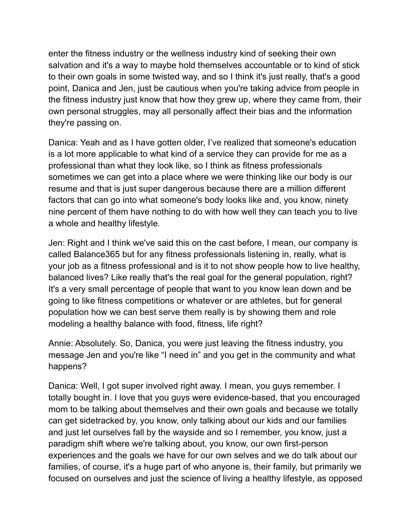enter the fitness industry or the wellness industry kind of seeking their own salvation and it's a way to maybe hold themselves accountable or to kind of stick to their own goals in some twisted way, and so I think it's just really, that's a good point, Danica and Jen, just be cautious when you're taking advice from people in the fitness industry just know that how they grew up, where they came from, their own personal struggles, may all personally affect their bias and the information they're passing on.

Danica: Yeah and as I have gotten older, I've realized that someone's education is a lot more applicable to what kind of a service they can provide for me as a professional than what they look like, so I think as fitness professionals sometimes we can get into a place where we were thinking like our body is our resume and that is just super dangerous because there are a million different factors that can go into what someone's body looks like and, you know, ninety nine percent of them have nothing to do with how well they can teach you to live a whole and healthy lifestyle.

Jen: Right and I think we've said this on the cast before, I mean, our company is called Balance365 but for any fitness professionals listening in, really, what is your job as a fitness professional and is it to not show people how to live healthy, balanced lives? Like really that's the real goal for the general population, right? It's a very small percentage of people that want to you know lean down and be going to like fitness competitions or whatever or are athletes, but for general population how we can best serve them really is by showing them and role modeling a healthy balance with food, fitness, life right?

Annie: Absolutely. So, Danica, you were just leaving the fitness industry, you message Jen and you're like "I need in" and you get in the community and what happens?

Danica: Well, I got super involved right away. I mean, you guys remember. I totally bought in. I love that you guys were evidence-based, that you encouraged mom to be talking about themselves and their own goals and because we totally can get sidetracked by, you know, only talking about our kids and our families and just let ourselves fall by the wayside and so I remember, you know, just a paradigm shift where we're talking about, you know, our own first-person experiences and the goals we have for our own selves and we do talk about our families, of course, it's a huge part of who anyone is, their family, but primarily we focused on ourselves and just the science of living a healthy lifestyle, as opposed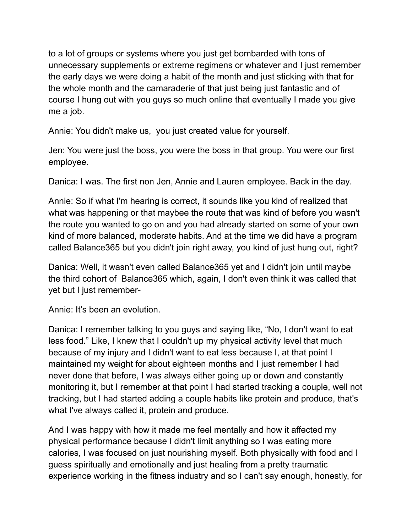to a lot of groups or systems where you just get bombarded with tons of unnecessary supplements or extreme regimens or whatever and I just remember the early days we were doing a habit of the month and just sticking with that for the whole month and the camaraderie of that just being just fantastic and of course I hung out with you guys so much online that eventually I made you give me a job.

Annie: You didn't make us, you just created value for yourself.

Jen: You were just the boss, you were the boss in that group. You were our first employee.

Danica: I was. The first non Jen, Annie and Lauren employee. Back in the day.

Annie: So if what I'm hearing is correct, it sounds like you kind of realized that what was happening or that maybee the route that was kind of before you wasn't the route you wanted to go on and you had already started on some of your own kind of more balanced, moderate habits. And at the time we did have a program called Balance365 but you didn't join right away, you kind of just hung out, right?

Danica: Well, it wasn't even called Balance365 yet and I didn't join until maybe the third cohort of Balance365 which, again, I don't even think it was called that yet but I just remember-

Annie: It's been an evolution.

Danica: I remember talking to you guys and saying like, "No, I don't want to eat less food." Like, I knew that I couldn't up my physical activity level that much because of my injury and I didn't want to eat less because I, at that point I maintained my weight for about eighteen months and I just remember I had never done that before, I was always either going up or down and constantly monitoring it, but I remember at that point I had started tracking a couple, well not tracking, but I had started adding a couple habits like protein and produce, that's what I've always called it, protein and produce.

And I was happy with how it made me feel mentally and how it affected my physical performance because I didn't limit anything so I was eating more calories, I was focused on just nourishing myself. Both physically with food and I guess spiritually and emotionally and just healing from a pretty traumatic experience working in the fitness industry and so I can't say enough, honestly, for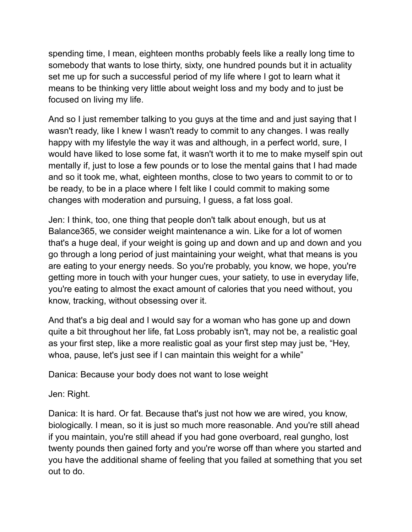spending time, I mean, eighteen months probably feels like a really long time to somebody that wants to lose thirty, sixty, one hundred pounds but it in actuality set me up for such a successful period of my life where I got to learn what it means to be thinking very little about weight loss and my body and to just be focused on living my life.

And so I just remember talking to you guys at the time and and just saying that I wasn't ready, like I knew I wasn't ready to commit to any changes. I was really happy with my lifestyle the way it was and although, in a perfect world, sure, I would have liked to lose some fat, it wasn't worth it to me to make myself spin out mentally if, just to lose a few pounds or to lose the mental gains that I had made and so it took me, what, eighteen months, close to two years to commit to or to be ready, to be in a place where I felt like I could commit to making some changes with moderation and pursuing, I guess, a fat loss goal.

Jen: I think, too, one thing that people don't talk about enough, but us at Balance365, we consider weight maintenance a win. Like for a lot of women that's a huge deal, if your weight is going up and down and up and down and you go through a long period of just maintaining your weight, what that means is you are eating to your energy needs. So you're probably, you know, we hope, you're getting more in touch with your hunger cues, your satiety, to use in everyday life, you're eating to almost the exact amount of calories that you need without, you know, tracking, without obsessing over it.

And that's a big deal and I would say for a woman who has gone up and down quite a bit throughout her life, fat Loss probably isn't, may not be, a realistic goal as your first step, like a more realistic goal as your first step may just be, "Hey, whoa, pause, let's just see if I can maintain this weight for a while"

Danica: Because your body does not want to lose weight

Jen: Right.

Danica: It is hard. Or fat. Because that's just not how we are wired, you know, biologically. I mean, so it is just so much more reasonable. And you're still ahead if you maintain, you're still ahead if you had gone overboard, real gungho, lost twenty pounds then gained forty and you're worse off than where you started and you have the additional shame of feeling that you failed at something that you set out to do.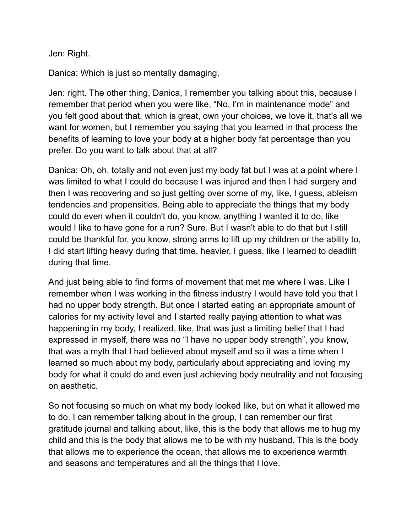Jen: Right.

Danica: Which is just so mentally damaging.

Jen: right. The other thing, Danica, I remember you talking about this, because I remember that period when you were like, "No, I'm in maintenance mode" and you felt good about that, which is great, own your choices, we love it, that's all we want for women, but I remember you saying that you learned in that process the benefits of learning to love your body at a higher body fat percentage than you prefer. Do you want to talk about that at all?

Danica: Oh, oh, totally and not even just my body fat but I was at a point where I was limited to what I could do because I was injured and then I had surgery and then I was recovering and so just getting over some of my, like, I guess, ableism tendencies and propensities. Being able to appreciate the things that my body could do even when it couldn't do, you know, anything I wanted it to do, like would I like to have gone for a run? Sure. But I wasn't able to do that but I still could be thankful for, you know, strong arms to lift up my children or the ability to, I did start lifting heavy during that time, heavier, I guess, like I learned to deadlift during that time.

And just being able to find forms of movement that met me where I was. Like I remember when I was working in the fitness industry I would have told you that I had no upper body strength. But once I started eating an appropriate amount of calories for my activity level and I started really paying attention to what was happening in my body, I realized, like, that was just a limiting belief that I had expressed in myself, there was no "I have no upper body strength", you know, that was a myth that I had believed about myself and so it was a time when I learned so much about my body, particularly about appreciating and loving my body for what it could do and even just achieving body neutrality and not focusing on aesthetic.

So not focusing so much on what my body looked like, but on what it allowed me to do. I can remember talking about in the group, I can remember our first gratitude journal and talking about, like, this is the body that allows me to hug my child and this is the body that allows me to be with my husband. This is the body that allows me to experience the ocean, that allows me to experience warmth and seasons and temperatures and all the things that I love.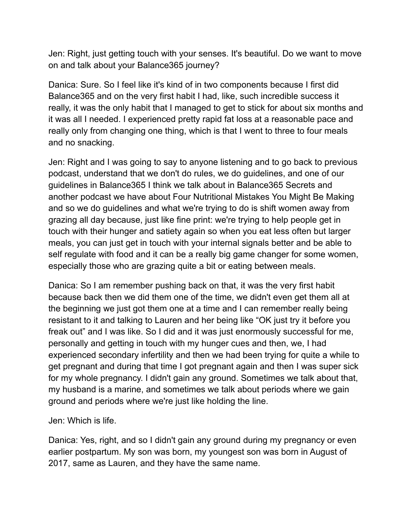Jen: Right, just getting touch with your senses. It's beautiful. Do we want to move on and talk about your Balance365 journey?

Danica: Sure. So I feel like it's kind of in two components because I first did Balance365 and on the very first habit I had, like, such incredible success it really, it was the only habit that I managed to get to stick for about six months and it was all I needed. I experienced pretty rapid fat loss at a reasonable pace and really only from changing one thing, which is that I went to three to four meals and no snacking.

Jen: Right and I was going to say to anyone listening and to go back to previous podcast, understand that we don't do rules, we do guidelines, and one of our guidelines in Balance365 I think we talk about in Balance365 Secrets and another podcast we have about Four Nutritional Mistakes You Might Be Making and so we do guidelines and what we're trying to do is shift women away from grazing all day because, just like fine print: we're trying to help people get in touch with their hunger and satiety again so when you eat less often but larger meals, you can just get in touch with your internal signals better and be able to self regulate with food and it can be a really big game changer for some women, especially those who are grazing quite a bit or eating between meals.

Danica: So I am remember pushing back on that, it was the very first habit because back then we did them one of the time, we didn't even get them all at the beginning we just got them one at a time and I can remember really being resistant to it and talking to Lauren and her being like "OK just try it before you freak out" and I was like. So I did and it was just enormously successful for me, personally and getting in touch with my hunger cues and then, we, I had experienced secondary infertility and then we had been trying for quite a while to get pregnant and during that time I got pregnant again and then I was super sick for my whole pregnancy. I didn't gain any ground. Sometimes we talk about that, my husband is a marine, and sometimes we talk about periods where we gain ground and periods where we're just like holding the line.

Jen: Which is life.

Danica: Yes, right, and so I didn't gain any ground during my pregnancy or even earlier postpartum. My son was born, my youngest son was born in August of 2017, same as Lauren, and they have the same name.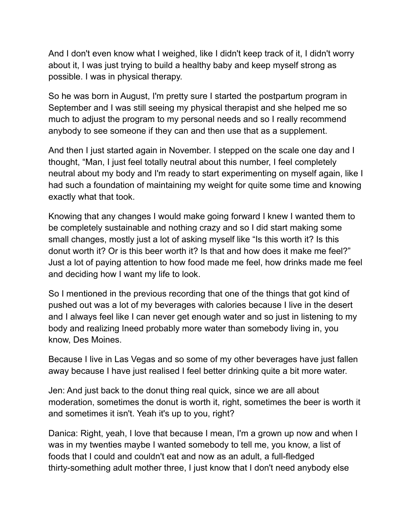And I don't even know what I weighed, like I didn't keep track of it, I didn't worry about it, I was just trying to build a healthy baby and keep myself strong as possible. I was in physical therapy.

So he was born in August, I'm pretty sure I started the postpartum program in September and I was still seeing my physical therapist and she helped me so much to adjust the program to my personal needs and so I really recommend anybody to see someone if they can and then use that as a supplement.

And then I just started again in November. I stepped on the scale one day and I thought, "Man, I just feel totally neutral about this number, I feel completely neutral about my body and I'm ready to start experimenting on myself again, like I had such a foundation of maintaining my weight for quite some time and knowing exactly what that took.

Knowing that any changes I would make going forward I knew I wanted them to be completely sustainable and nothing crazy and so I did start making some small changes, mostly just a lot of asking myself like "Is this worth it? Is this donut worth it? Or is this beer worth it? Is that and how does it make me feel?" Just a lot of paying attention to how food made me feel, how drinks made me feel and deciding how I want my life to look.

So I mentioned in the previous recording that one of the things that got kind of pushed out was a lot of my beverages with calories because I live in the desert and I always feel like I can never get enough water and so just in listening to my body and realizing Ineed probably more water than somebody living in, you know, Des Moines.

Because I live in Las Vegas and so some of my other beverages have just fallen away because I have just realised I feel better drinking quite a bit more water.

Jen: And just back to the donut thing real quick, since we are all about moderation, sometimes the donut is worth it, right, sometimes the beer is worth it and sometimes it isn't. Yeah it's up to you, right?

Danica: Right, yeah, I love that because I mean, I'm a grown up now and when I was in my twenties maybe I wanted somebody to tell me, you know, a list of foods that I could and couldn't eat and now as an adult, a full-fledged thirty-something adult mother three, I just know that I don't need anybody else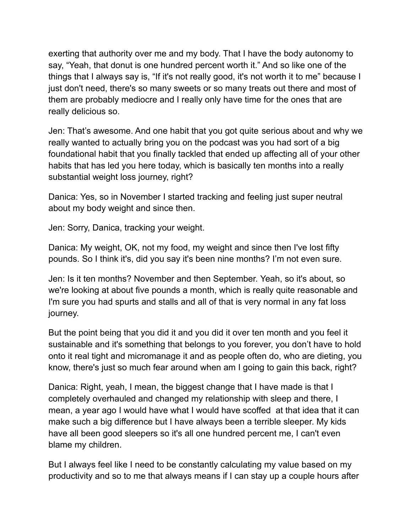exerting that authority over me and my body. That I have the body autonomy to say, "Yeah, that donut is one hundred percent worth it." And so like one of the things that I always say is, "If it's not really good, it's not worth it to me" because I just don't need, there's so many sweets or so many treats out there and most of them are probably mediocre and I really only have time for the ones that are really delicious so.

Jen: That's awesome. And one habit that you got quite serious about and why we really wanted to actually bring you on the podcast was you had sort of a big foundational habit that you finally tackled that ended up affecting all of your other habits that has led you here today, which is basically ten months into a really substantial weight loss journey, right?

Danica: Yes, so in November I started tracking and feeling just super neutral about my body weight and since then.

Jen: Sorry, Danica, tracking your weight.

Danica: My weight, OK, not my food, my weight and since then I've lost fifty pounds. So I think it's, did you say it's been nine months? I'm not even sure.

Jen: Is it ten months? November and then September. Yeah, so it's about, so we're looking at about five pounds a month, which is really quite reasonable and I'm sure you had spurts and stalls and all of that is very normal in any fat loss journey.

But the point being that you did it and you did it over ten month and you feel it sustainable and it's something that belongs to you forever, you don't have to hold onto it real tight and micromanage it and as people often do, who are dieting, you know, there's just so much fear around when am I going to gain this back, right?

Danica: Right, yeah, I mean, the biggest change that I have made is that I completely overhauled and changed my relationship with sleep and there, I mean, a year ago I would have what I would have scoffed at that idea that it can make such a big difference but I have always been a terrible sleeper. My kids have all been good sleepers so it's all one hundred percent me, I can't even blame my children.

But I always feel like I need to be constantly calculating my value based on my productivity and so to me that always means if I can stay up a couple hours after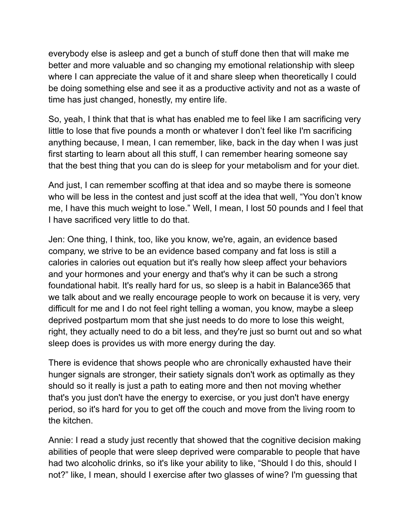everybody else is asleep and get a bunch of stuff done then that will make me better and more valuable and so changing my emotional relationship with sleep where I can appreciate the value of it and share sleep when theoretically I could be doing something else and see it as a productive activity and not as a waste of time has just changed, honestly, my entire life.

So, yeah, I think that that is what has enabled me to feel like I am sacrificing very little to lose that five pounds a month or whatever I don't feel like I'm sacrificing anything because, I mean, I can remember, like, back in the day when I was just first starting to learn about all this stuff, I can remember hearing someone say that the best thing that you can do is sleep for your metabolism and for your diet.

And just, I can remember scoffing at that idea and so maybe there is someone who will be less in the contest and just scoff at the idea that well, "You don't know me, I have this much weight to lose." Well, I mean, I lost 50 pounds and I feel that I have sacrificed very little to do that.

Jen: One thing, I think, too, like you know, we're, again, an evidence based company, we strive to be an evidence based company and fat loss is still a calories in calories out equation but it's really how sleep affect your behaviors and your hormones and your energy and that's why it can be such a strong foundational habit. It's really hard for us, so sleep is a habit in Balance365 that we talk about and we really encourage people to work on because it is very, very difficult for me and I do not feel right telling a woman, you know, maybe a sleep deprived postpartum mom that she just needs to do more to lose this weight, right, they actually need to do a bit less, and they're just so burnt out and so what sleep does is provides us with more energy during the day.

There is evidence that shows people who are chronically exhausted have their hunger signals are stronger, their satiety signals don't work as optimally as they should so it really is just a path to eating more and then not moving whether that's you just don't have the energy to exercise, or you just don't have energy period, so it's hard for you to get off the couch and move from the living room to the kitchen.

Annie: I read a study just recently that showed that the cognitive decision making abilities of people that were sleep deprived were comparable to people that have had two alcoholic drinks, so it's like your ability to like, "Should I do this, should I not?" like, I mean, should I exercise after two glasses of wine? I'm guessing that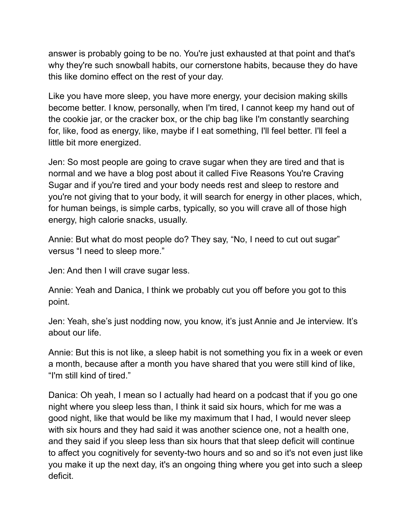answer is probably going to be no. You're just exhausted at that point and that's why they're such snowball habits, our cornerstone habits, because they do have this like domino effect on the rest of your day.

Like you have more sleep, you have more energy, your decision making skills become better. I know, personally, when I'm tired, I cannot keep my hand out of the cookie jar, or the cracker box, or the chip bag like I'm constantly searching for, like, food as energy, like, maybe if I eat something, I'll feel better. I'll feel a little bit more energized.

Jen: So most people are going to crave sugar when they are tired and that is normal and we have a blog post about it called Five Reasons You're Craving Sugar and if you're tired and your body needs rest and sleep to restore and you're not giving that to your body, it will search for energy in other places, which, for human beings, is simple carbs, typically, so you will crave all of those high energy, high calorie snacks, usually.

Annie: But what do most people do? They say, "No, I need to cut out sugar" versus "I need to sleep more."

Jen: And then I will crave sugar less.

Annie: Yeah and Danica, I think we probably cut you off before you got to this point.

Jen: Yeah, she's just nodding now, you know, it's just Annie and Je interview. It's about our life.

Annie: But this is not like, a sleep habit is not something you fix in a week or even a month, because after a month you have shared that you were still kind of like, "I'm still kind of tired."

Danica: Oh yeah, I mean so I actually had heard on a podcast that if you go one night where you sleep less than, I think it said six hours, which for me was a good night, like that would be like my maximum that I had, I would never sleep with six hours and they had said it was another science one, not a health one, and they said if you sleep less than six hours that that sleep deficit will continue to affect you cognitively for seventy-two hours and so and so it's not even just like you make it up the next day, it's an ongoing thing where you get into such a sleep deficit.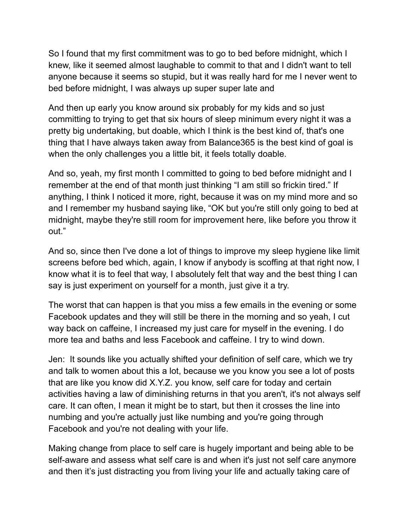So I found that my first commitment was to go to bed before midnight, which I knew, like it seemed almost laughable to commit to that and I didn't want to tell anyone because it seems so stupid, but it was really hard for me I never went to bed before midnight, I was always up super super late and

And then up early you know around six probably for my kids and so just committing to trying to get that six hours of sleep minimum every night it was a pretty big undertaking, but doable, which I think is the best kind of, that's one thing that I have always taken away from Balance365 is the best kind of goal is when the only challenges you a little bit, it feels totally doable.

And so, yeah, my first month I committed to going to bed before midnight and I remember at the end of that month just thinking "I am still so frickin tired." If anything, I think I noticed it more, right, because it was on my mind more and so and I remember my husband saying like, "OK but you're still only going to bed at midnight, maybe they're still room for improvement here, like before you throw it out."

And so, since then I've done a lot of things to improve my sleep hygiene like limit screens before bed which, again, I know if anybody is scoffing at that right now, I know what it is to feel that way, I absolutely felt that way and the best thing I can say is just experiment on yourself for a month, just give it a try.

The worst that can happen is that you miss a few emails in the evening or some Facebook updates and they will still be there in the morning and so yeah, I cut way back on caffeine, I increased my just care for myself in the evening. I do more tea and baths and less Facebook and caffeine. I try to wind down.

Jen: It sounds like you actually shifted your definition of self care, which we try and talk to women about this a lot, because we you know you see a lot of posts that are like you know did X.Y.Z. you know, self care for today and certain activities having a law of diminishing returns in that you aren't, it's not always self care. It can often, I mean it might be to start, but then it crosses the line into numbing and you're actually just like numbing and you're going through Facebook and you're not dealing with your life.

Making change from place to self care is hugely important and being able to be self-aware and assess what self care is and when it's just not self care anymore and then it's just distracting you from living your life and actually taking care of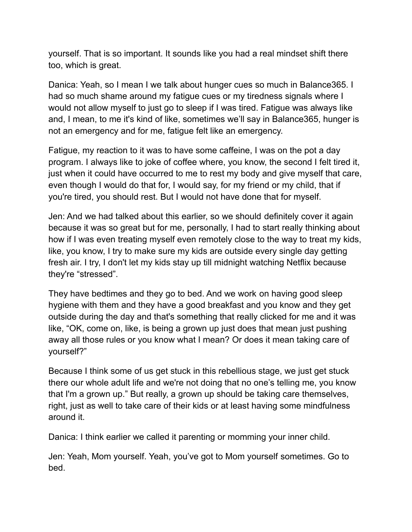yourself. That is so important. It sounds like you had a real mindset shift there too, which is great.

Danica: Yeah, so I mean I we talk about hunger cues so much in Balance365. I had so much shame around my fatigue cues or my tiredness signals where I would not allow myself to just go to sleep if I was tired. Fatigue was always like and, I mean, to me it's kind of like, sometimes we'll say in Balance365, hunger is not an emergency and for me, fatigue felt like an emergency.

Fatigue, my reaction to it was to have some caffeine, I was on the pot a day program. I always like to joke of coffee where, you know, the second I felt tired it, just when it could have occurred to me to rest my body and give myself that care, even though I would do that for, I would say, for my friend or my child, that if you're tired, you should rest. But I would not have done that for myself.

Jen: And we had talked about this earlier, so we should definitely cover it again because it was so great but for me, personally, I had to start really thinking about how if I was even treating myself even remotely close to the way to treat my kids, like, you know, I try to make sure my kids are outside every single day getting fresh air. I try, I don't let my kids stay up till midnight watching Netflix because they're "stressed".

They have bedtimes and they go to bed. And we work on having good sleep hygiene with them and they have a good breakfast and you know and they get outside during the day and that's something that really clicked for me and it was like, "OK, come on, like, is being a grown up just does that mean just pushing away all those rules or you know what I mean? Or does it mean taking care of yourself?"

Because I think some of us get stuck in this rebellious stage, we just get stuck there our whole adult life and we're not doing that no one's telling me, you know that I'm a grown up." But really, a grown up should be taking care themselves, right, just as well to take care of their kids or at least having some mindfulness around it.

Danica: I think earlier we called it parenting or momming your inner child.

Jen: Yeah, Mom yourself. Yeah, you've got to Mom yourself sometimes. Go to bed.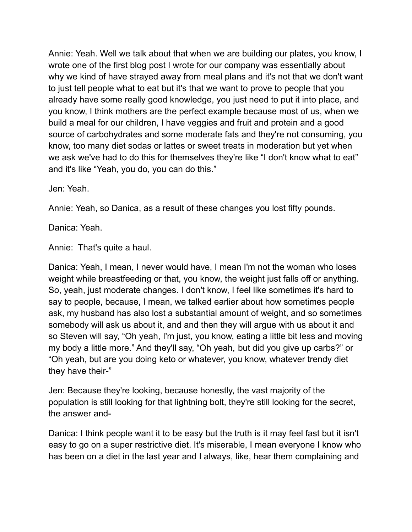Annie: Yeah. Well we talk about that when we are building our plates, you know, I wrote one of the first blog post I wrote for our company was essentially about why we kind of have strayed away from meal plans and it's not that we don't want to just tell people what to eat but it's that we want to prove to people that you already have some really good knowledge, you just need to put it into place, and you know, I think mothers are the perfect example because most of us, when we build a meal for our children, I have veggies and fruit and protein and a good source of carbohydrates and some moderate fats and they're not consuming, you know, too many diet sodas or lattes or sweet treats in moderation but yet when we ask we've had to do this for themselves they're like "I don't know what to eat" and it's like "Yeah, you do, you can do this."

Jen: Yeah.

Annie: Yeah, so Danica, as a result of these changes you lost fifty pounds.

Danica: Yeah.

Annie: That's quite a haul.

Danica: Yeah, I mean, I never would have, I mean I'm not the woman who loses weight while breastfeeding or that, you know, the weight just falls off or anything. So, yeah, just moderate changes. I don't know, I feel like sometimes it's hard to say to people, because, I mean, we talked earlier about how sometimes people ask, my husband has also lost a substantial amount of weight, and so sometimes somebody will ask us about it, and and then they will argue with us about it and so Steven will say, "Oh yeah, I'm just, you know, eating a little bit less and moving my body a little more." And they'll say, "Oh yeah, but did you give up carbs?" or "Oh yeah, but are you doing keto or whatever, you know, whatever trendy diet they have their-"

Jen: Because they're looking, because honestly, the vast majority of the population is still looking for that lightning bolt, they're still looking for the secret, the answer and-

Danica: I think people want it to be easy but the truth is it may feel fast but it isn't easy to go on a super restrictive diet. It's miserable, I mean everyone I know who has been on a diet in the last year and I always, like, hear them complaining and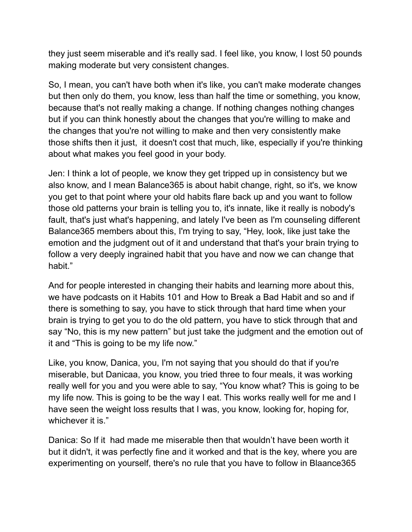they just seem miserable and it's really sad. I feel like, you know, I lost 50 pounds making moderate but very consistent changes.

So, I mean, you can't have both when it's like, you can't make moderate changes but then only do them, you know, less than half the time or something, you know, because that's not really making a change. If nothing changes nothing changes but if you can think honestly about the changes that you're willing to make and the changes that you're not willing to make and then very consistently make those shifts then it just, it doesn't cost that much, like, especially if you're thinking about what makes you feel good in your body.

Jen: I think a lot of people, we know they get tripped up in consistency but we also know, and I mean Balance365 is about habit change, right, so it's, we know you get to that point where your old habits flare back up and you want to follow those old patterns your brain is telling you to, it's innate, like it really is nobody's fault, that's just what's happening, and lately I've been as I'm counseling different Balance365 members about this, I'm trying to say, "Hey, look, like just take the emotion and the judgment out of it and understand that that's your brain trying to follow a very deeply ingrained habit that you have and now we can change that habit."

And for people interested in changing their habits and learning more about this, we have podcasts on it Habits 101 and How to Break a Bad Habit and so and if there is something to say, you have to stick through that hard time when your brain is trying to get you to do the old pattern, you have to stick through that and say "No, this is my new pattern" but just take the judgment and the emotion out of it and "This is going to be my life now."

Like, you know, Danica, you, I'm not saying that you should do that if you're miserable, but Danicaa, you know, you tried three to four meals, it was working really well for you and you were able to say, "You know what? This is going to be my life now. This is going to be the way I eat. This works really well for me and I have seen the weight loss results that I was, you know, looking for, hoping for, whichever it is."

Danica: So If it had made me miserable then that wouldn't have been worth it but it didn't, it was perfectly fine and it worked and that is the key, where you are experimenting on yourself, there's no rule that you have to follow in Blaance365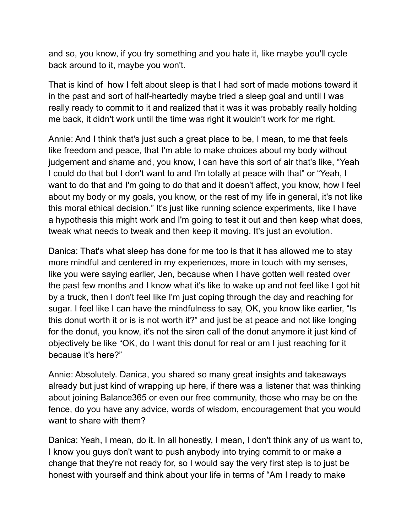and so, you know, if you try something and you hate it, like maybe you'll cycle back around to it, maybe you won't.

That is kind of how I felt about sleep is that I had sort of made motions toward it in the past and sort of half-heartedly maybe tried a sleep goal and until I was really ready to commit to it and realized that it was it was probably really holding me back, it didn't work until the time was right it wouldn't work for me right.

Annie: And I think that's just such a great place to be, I mean, to me that feels like freedom and peace, that I'm able to make choices about my body without judgement and shame and, you know, I can have this sort of air that's like, "Yeah I could do that but I don't want to and I'm totally at peace with that" or "Yeah, I want to do that and I'm going to do that and it doesn't affect, you know, how I feel about my body or my goals, you know, or the rest of my life in general, it's not like this moral ethical decision." It's just like running science experiments, like I have a hypothesis this might work and I'm going to test it out and then keep what does, tweak what needs to tweak and then keep it moving. It's just an evolution.

Danica: That's what sleep has done for me too is that it has allowed me to stay more mindful and centered in my experiences, more in touch with my senses, like you were saying earlier, Jen, because when I have gotten well rested over the past few months and I know what it's like to wake up and not feel like I got hit by a truck, then I don't feel like I'm just coping through the day and reaching for sugar. I feel like I can have the mindfulness to say, OK, you know like earlier, "Is this donut worth it or is is not worth it?" and just be at peace and not like longing for the donut, you know, it's not the siren call of the donut anymore it just kind of objectively be like "OK, do I want this donut for real or am I just reaching for it because it's here?"

Annie: Absolutely. Danica, you shared so many great insights and takeaways already but just kind of wrapping up here, if there was a listener that was thinking about joining Balance365 or even our free community, those who may be on the fence, do you have any advice, words of wisdom, encouragement that you would want to share with them?

Danica: Yeah, I mean, do it. In all honestly, I mean, I don't think any of us want to, I know you guys don't want to push anybody into trying commit to or make a change that they're not ready for, so I would say the very first step is to just be honest with yourself and think about your life in terms of "Am I ready to make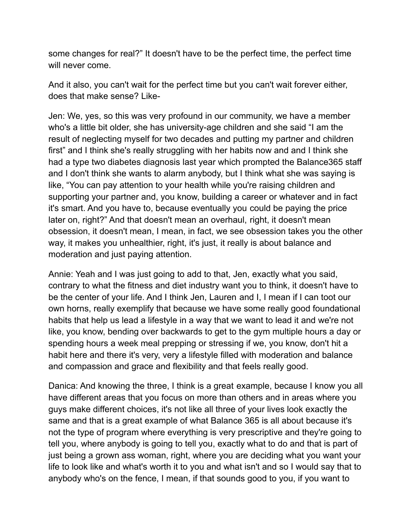some changes for real?" It doesn't have to be the perfect time, the perfect time will never come.

And it also, you can't wait for the perfect time but you can't wait forever either, does that make sense? Like-

Jen: We, yes, so this was very profound in our community, we have a member who's a little bit older, she has university-age children and she said "I am the result of neglecting myself for two decades and putting my partner and children first" and I think she's really struggling with her habits now and and I think she had a type two diabetes diagnosis last year which prompted the Balance365 staff and I don't think she wants to alarm anybody, but I think what she was saying is like, "You can pay attention to your health while you're raising children and supporting your partner and, you know, building a career or whatever and in fact it's smart. And you have to, because eventually you could be paying the price later on, right?" And that doesn't mean an overhaul, right, it doesn't mean obsession, it doesn't mean, I mean, in fact, we see obsession takes you the other way, it makes you unhealthier, right, it's just, it really is about balance and moderation and just paying attention.

Annie: Yeah and I was just going to add to that, Jen, exactly what you said, contrary to what the fitness and diet industry want you to think, it doesn't have to be the center of your life. And I think Jen, Lauren and I, I mean if I can toot our own horns, really exemplify that because we have some really good foundational habits that help us lead a lifestyle in a way that we want to lead it and we're not like, you know, bending over backwards to get to the gym multiple hours a day or spending hours a week meal prepping or stressing if we, you know, don't hit a habit here and there it's very, very a lifestyle filled with moderation and balance and compassion and grace and flexibility and that feels really good.

Danica: And knowing the three, I think is a great example, because I know you all have different areas that you focus on more than others and in areas where you guys make different choices, it's not like all three of your lives look exactly the same and that is a great example of what Balance 365 is all about because it's not the type of program where everything is very prescriptive and they're going to tell you, where anybody is going to tell you, exactly what to do and that is part of just being a grown ass woman, right, where you are deciding what you want your life to look like and what's worth it to you and what isn't and so I would say that to anybody who's on the fence, I mean, if that sounds good to you, if you want to